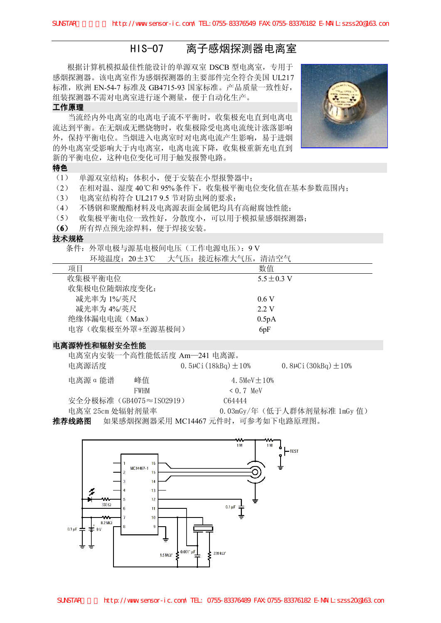**HIS-07 离子感烟探测器电离室**<br><sub>佳性能设计的单源双室 DSCB 型电离室,专用于<br>作为感烟探测器的主要部件完全符合美国 UL217</sub> 根据计算机模拟最佳性能设计的单源双室 DSCB 型电离室,专用于 感烟探测器。该电离室作为感烟探测器的主要部件完全符合美国 UL217 标准,欧洲 EN-54-7 标准及 GB4715-93 国家标准。产品质量一致性好, 组装探测器不需对电离室进行逐个测量,便于自动化生产。

# **工作原理**

当流经内外电离室的电离电子流不平衡时,收集极充电直到电离电 流达到平衡。在无烟或无燃烧物时,收集极除受电离电流统计涨落影响 外,保持平衡电位。当烟进入电离室时对电离电流产生影响,易于进烟 的外电离室受影响大于内电离室,电离电流下降,收集极重新充电直到 新的平衡电位,这种电位变化可用于触发报警电路。

#### **特色**

- (1) 单源双室结构;体积小,便于安装在小型报警器中;
- (2) 在相对温、湿度 40℃和 95%条件下,收集极平衡电位变化值在基本参数范围内;
- 
- (3) 电离室结构符合 UL217 9.5 节对防虫网的要求;<br>(4) 不锈钢和聚酸酯材料及电离源表面金属钯均具有高耐腐蚀性能;<br>(5) 收集极平衡电位一致性好, 分散度小, 可以用于模拟量感烟探;
- (4) 不锈钢和聚酸酯材料及电离源表面金属钯均具有高耐腐蚀性能;<br>(5) 收集极平衡电位一致性好,分散度小,可以用于模拟量感烟探;<br>(6) 所有惧占预先涂焊料,便于焊接完装 (5) 收集极平衡电位一致性好,分散度小,可以用于模拟量感烟探测器;
- (**6** ) 所有焊点预先涂焊料,便于焊接安装。

# 技术规格

条件: 外罩电极与源基电极间电压(工作电源电压): 9 V

| 环境温度: 20±3℃      | 大气压:接近标准大气压,清洁空气 |
|------------------|------------------|
| 项目               | 数值               |
| 收集极平衡电位          | $5.5 + 0.3$ V    |
| 收集极电位随烟浓度变化:     |                  |
| 减光率为 1%/英尺       | 06 V             |
| 减光率为 4%/英尺       | 2 2 V            |
| 绝缘体漏电电流(Max)     | 0.5pA            |
| 电容(收集极至外罩+至源基极间) | 6 <sub>pF</sub>  |

# 电离源特性和辐射安全性能

|                 | 电离室内安装一个高性能低活度 Am-241 电离源。 |                                     |                                |
|-----------------|----------------------------|-------------------------------------|--------------------------------|
| 电离源活度           |                            | 0.5 $\mu$ Ci (18kBq) $\pm$ 10%      | 0.8 $\mu$ Ci (30kBq) $\pm$ 10% |
| 电离源 α 能谱        | 峰值                         | 4.5MeV $+10%$                       |                                |
|                 | FWHM                       | $\leq 0.7$ MeV                      |                                |
|                 | 安全分极标准 (GB4075≈IS02919)    | C64444                              |                                |
| 电离室 25cm 处辐射剂量率 |                            |                                     | 0.03mGy/年(低于人群体剂量标准 1mGy 值)    |
| 推荐线路图           |                            | - 如果感烟探测器采用 MC14467 元件时,可参考如下电路原理图。 |                                |
|                 |                            |                                     |                                |



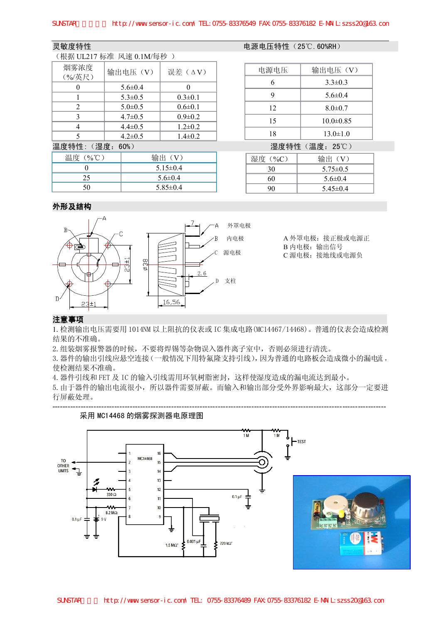# (根据 UL217 标准 风速 0.1M/每秒 )

| \ イ1火1/台 ULZI/ インドイ比 /ヘ\ Jを U.INI/ キガインノ ノ |               |               |  |  |  |  |
|--------------------------------------------|---------------|---------------|--|--|--|--|
| 烟雾浓度<br>(%/英尺)                             | 输出电压(V)       | 误差(△Ⅴ)        |  |  |  |  |
|                                            | $5.6 \pm 0.4$ | $\mathbf{0}$  |  |  |  |  |
|                                            | $5.3 \pm 0.5$ | $0.3 \pm 0.1$ |  |  |  |  |
| 2                                          | $5.0 \pm 0.5$ | $0.6 \pm 0.1$ |  |  |  |  |
| 3                                          | $4.7 \pm 0.5$ | $0.9 \pm 0.2$ |  |  |  |  |
| 4                                          | $4.4 \pm 0.5$ | $1.2 \pm 0.2$ |  |  |  |  |
| 5                                          | $4.2 \pm 0.5$ | $1.4 \pm 0.2$ |  |  |  |  |
|                                            |               |               |  |  |  |  |

### 温度特性: (湿度: 60%) 2000 2000 2000 2000 2000 2000 温度特性 (温度: 25℃)

| 温度 (%℃) | 输出 (V)         |  |  |  |
|---------|----------------|--|--|--|
|         | $5.15 \pm 0.4$ |  |  |  |
| 25      | $5.6 \pm 0.4$  |  |  |  |
| 50      | $5.85\pm0.4$   |  |  |  |

#### 灵敏度特性 电源电压特性 (25℃.60%RH)

| 电源电压 | 输出电压(V)         |
|------|-----------------|
| 6    | $3.3 \pm 0.3$   |
| 9    | $5.6 \pm 0.4$   |
| 12   | $8.0 \pm 0.7$   |
| 15   | $10.0 \pm 0.85$ |
| 18   | $13.0 \pm 1.0$  |

| 湿度 (%C) | 输出 (V)         |
|---------|----------------|
| 30      | $5.75 \pm 0.5$ |
| 60      | $5.6 \pm 0.4$  |
| 90      | $5.45\pm0.4$   |

# **外形及结构**



A 外罩电极: 接正极或电源正 B 内电极: 输出信号 C 源电极:接地线或电源负

# **注意事项**

<sup>1</sup>.检测输出电压需要用 1014NM 以上阻抗的仪表或 IC 集成电路(MC14467/14468)。普通的仪表会造成检测 结果的不准确。

2.组装烟雾报警器的时候,不要将焊锡等杂物误入器件离子室中,否则必须进行清洗。

3. 器件的输出引线应悬空连接(一般情况下用特氟隆支持引线),因为普通的电路板会造成微小的漏电流,<br>使检测结果不准确。<br>4. 器件引线和 FET 及 IC 的输入引线需用环氧树脂密封,这样使湿度造成的漏电流达到最小。 使检测结果不准确。

4. 器件引线和 FET 及 IC 的输入引线需用环氧树脂密封,这样使湿度造成的漏电流达到最小。<br>5. 由于器件的输出电流很小,所以器件需要屏蔽。而输入和输出部分受外界影响最大,这音<br>行屋蔽处理 5.由于器件的输出电流很小,所以器件需要屏蔽。而输入和输出部分受外界影响最大,这部分一定要进 行屏蔽处理。

---------------------------------------------------------------------------------------------------------------------------------

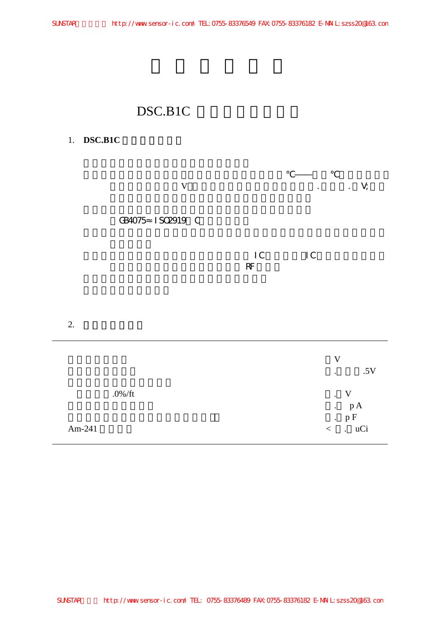l

# DSC.B1C

# 1. **DSC.B1C**

|    | $\mathbf V$      |  |                     |                             | $\mathsf{V}$ is a set of $\mathsf{V}$ is $\mathsf{V}$ in $\mathsf{V}$ in $\mathsf{V}$ is a set of $\mathsf{V}$ is a set of $\mathsf{V}$ is a set of $\mathsf{V}$ is a set of $\mathsf{V}$ is a set of $\mathsf{V}$ is a set of $\mathsf{V}$ is a set of $\mathsf{V}$ is a set |  |
|----|------------------|--|---------------------|-----------------------------|-------------------------------------------------------------------------------------------------------------------------------------------------------------------------------------------------------------------------------------------------------------------------------|--|
|    | GB4075 IS02919 C |  |                     |                             |                                                                                                                                                                                                                                                                               |  |
|    |                  |  | $\mathsf{IC}$<br>RF | $\overline{\phantom{a}}$ IC |                                                                                                                                                                                                                                                                               |  |
| 2. |                  |  |                     |                             |                                                                                                                                                                                                                                                                               |  |

|            | v                                                  |
|------------|----------------------------------------------------|
|            | .5V<br>$\bullet$                                   |
| $.0\%$ /ft | . V<br>p A<br>$\bullet$ .                          |
| Am-241     | $\cdot$ pF<br>uCi<br>$\lt$<br>$\ddot{\phantom{a}}$ |
|            |                                                    |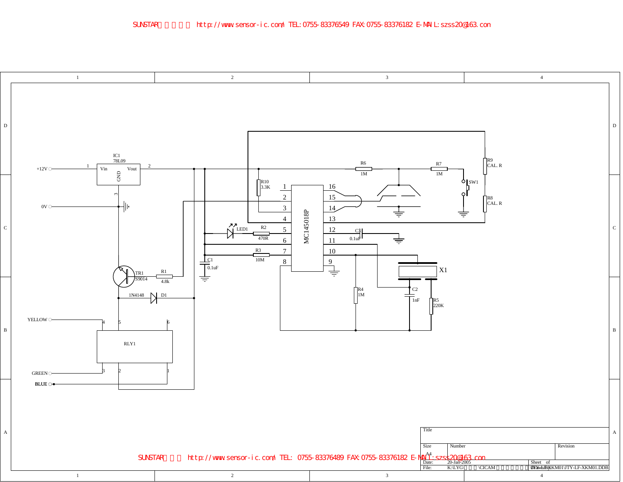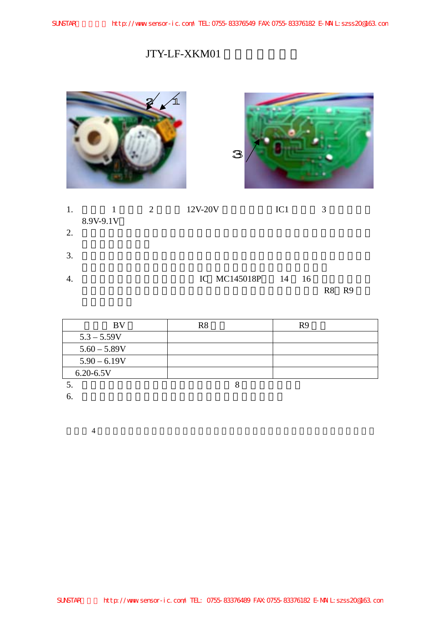# JTY-LF-XKM01

|    |                           |                |         | $\mathbf{B}$       |           |                         |    |
|----|---------------------------|----------------|---------|--------------------|-----------|-------------------------|----|
| 1. | $\mathbf{1}$<br>8.9V-9.1V | $\overline{2}$ | 12V-20V |                    | $\rm IC1$ | $\overline{\mathbf{3}}$ |    |
| 2. |                           |                |         |                    |           |                         |    |
| 3. |                           |                |         |                    |           |                         |    |
| 4. |                           |                |         | IC MC145018P 14 16 |           | R8                      | R9 |

| BV             | R8 | R9 |
|----------------|----|----|
| $5.3 - 5.59V$  |    |    |
| $5.60 - 5.89V$ |    |    |
| $5.90 - 6.19V$ |    |    |
| $6.20 - 6.5V$  |    |    |
|                |    |    |

 $6.$ 

 $4$ 

SUNSTAR http://www.sensor-ic.com/ TEL: 0755-83376489 FAX:0755-83376182 E-MAIL:szss20@163.com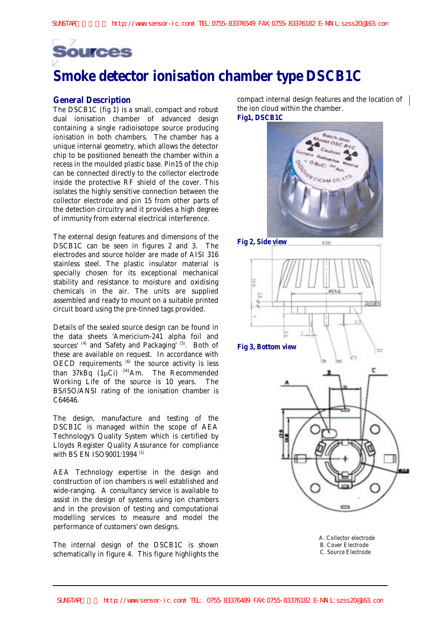

# **Smoke detector ionisation chamber type DSCB1C**

# **General Description**

The DSCB1C (fig 1) is a small, compact and robust dual ionisation chamber of advanced design containing a single radioisotope source producing ionisation in both chambers. The chamber has a unique internal geometry, which allows the detector chip to be positioned beneath the chamber within a recess in the moulded plastic base. Pin15 of the chip can be connected directly to the collector electrode inside the protective RF shield of the cover. This isolates the highly sensitive connection between the collector electrode and pin 15 from other parts of the detection circuitry and it provides a high degree of immunity from external electrical interference.

The external design features and dimensions of the DSCB1C can be seen in figures 2 and 3. The electrodes and source holder are made of AISI 316 stainless steel. The plastic insulator material is specially chosen for its exceptional mechanical stability and resistance to moisture and oxidising chemicals in the air. The units are supplied assembled and ready to mount on a suitable printed circuit board using the pre-tinned tags provided.

Details of the sealed source design can be found in the data sheets 'Americium-241 alpha foil and sources' (4) and 'Safety and Packaging' (5). Both of these are available on request. In accordance with OECD requirements  $(6)$  the source activity is less than  $37kBq$  (1µCi)<sup>241</sup>Am. The Recommended Working Life of the source is 10 years. The BS/ISO/ANSI rating of the ionisation chamber is C64646.

The design, manufacture and testing of the DSCB1C is managed within the scope of AEA Technology's Quality System which is certified by Lloyds Register Quality Assurance for compliance with BS EN ISO9001:1994<sup>(1)</sup>

AEA Technology expertise in the design and construction of ion chambers is well established and wide-ranging. A consultancy service is available to assist in the design of systems using ion chambers and in the provision of testing and computational modelling services to measure and model the performance of customers' own designs.

The internal design of the DSCB1C is shown schematically in figure 4. This figure highlights the compact internal design features and the location of the ion cloud within the chamber. **Fig1, DSCB1C**





**Fig 3, Bottom view** 



A. Collector electrode B. Cover Electrode C. Source Electrode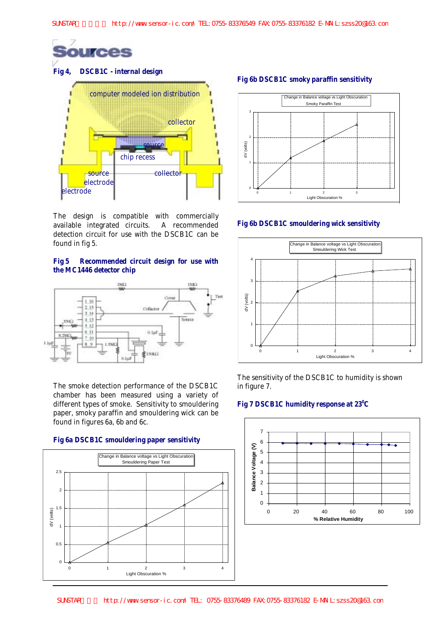



The design is compatible with commercially available integrated circuits. A recommended detection circuit for use with the DSCB1C can be found in fig 5.

# **Fig 5 Recommended circuit design for use with the MC1446 detector chip**



The smoke detection performance of the DSCB1C chamber has been measured using a variety of different types of smoke. Sensitivity to smouldering paper, smoky paraffin and smouldering wick can be found in figures 6a, 6b and 6c.



**Fig 6b DSCB1C smoky paraffin sensitivity**



# **Fig 6b DSCB1C smouldering wick sensitivity**



The sensitivity of the DSCB1C to humidity is shown in figure 7.

#### Fig 7 DSCB1C humidity response at 23<sup>°</sup>C

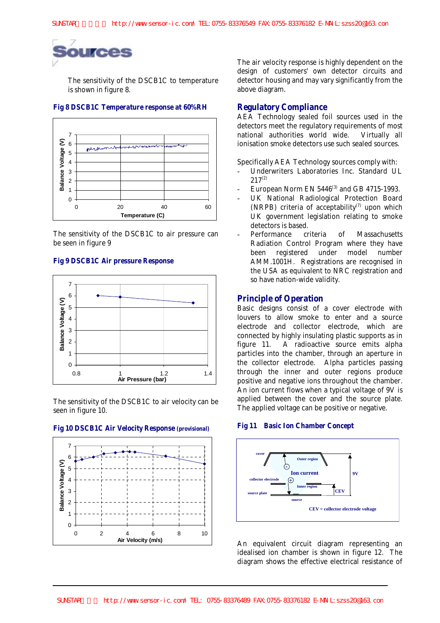

The sensitivity of the DSCB1C to temperature is shown in figure 8.

### **Fig 8 DSCB1C Temperature response at 60%RH**



The sensitivity of the DSCB1C to air pressure can be seen in figure 9

#### **Fig 9 DSCB1C Air pressure Response**



The sensitivity of the DSCB1C to air velocity can be seen in figure 10.

## **Fig 10 DSCB1C Air Velocity Response (provisional)**



The air velocity response is highly dependent on the design of customers' own detector circuits and detector housing and may vary significantly from the above diagram.

### **Regulatory Compliance**

AEA Technology sealed foil sources used in the detectors meet the regulatory requirements of most national authorities world wide. Virtually all ionisation smoke detectors use such sealed sources.

Specifically AEA Technology sources comply with:

- Underwriters Laboratories Inc. Standard UL  $217^{(2)}$
- European Norm EN  $5446^{(3)}$  and GB 4715-1993.
- UK National Radiological Protection Board (NRPB) criteria of acceptability<sup>(7)</sup> upon which UK government legislation relating to smoke detectors is based.
- Performance criteria of Massachusetts Radiation Control Program where they have been registered under model number AMM.1001H. Registrations are recognised in the USA as equivalent to NRC registration and so have nation-wide validity.

# **Principle of Operation**

Basic designs consist of a cover electrode with louvers to allow smoke to enter and a source electrode and collector electrode, which are connected by highly insulating plastic supports as in figure 11. A radioactive source emits alpha particles into the chamber, through an aperture in the collector electrode. Alpha particles passing through the inner and outer regions produce positive and negative ions throughout the chamber. An ion current flows when a typical voltage of 9V is applied between the cover and the source plate. The applied voltage can be positive or negative.

**Fig 11 Basic Ion Chamber Concept**



An equivalent circuit diagram representing an idealised ion chamber is shown in figure 12. The diagram shows the effective electrical resistance of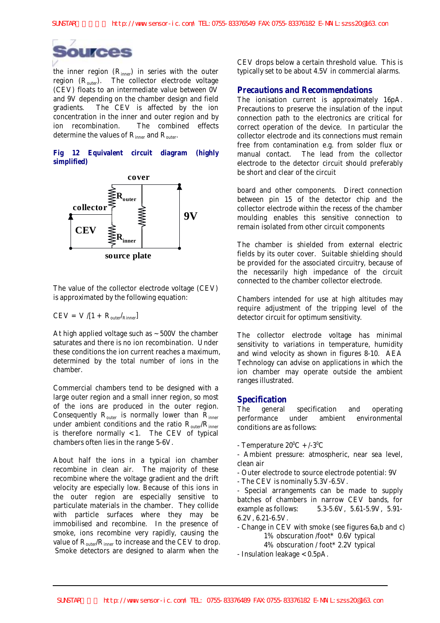

the inner region  $(R_{inner})$  in series with the outer region (R<sub>outer</sub>). The collector electrode voltage (CEV) floats to an intermediate value between 0V and 9V depending on the chamber design and field gradients. The CEV is affected by the ion concentration in the inner and outer region and by ion recombination. The combined effects determine the values of  $R_{inner}$  and  $R_{outer}$ .

# **Fig 12 Equivalent circuit diagram (highly simplified)**



The value of the collector electrode voltage (CEV) is approximated by the following equation:

$$
CEV = V/[1 + R_{outer}/_{Rinner}]
$$

At high applied voltage such as  $\sim$  500V the chamber saturates and there is no ion recombination. Under these conditions the ion current reaches a maximum, determined by the total number of ions in the chamber.

Commercial chambers tend to be designed with a large outer region and a small inner region, so most of the ions are produced in the outer region. Consequently  $R_{outer}$  is normally lower than  $R_{inner}$ under ambient conditions and the ratio  $R_{outer}/R_{inner}$ is therefore normally  $<$  1. The CEV of typical chambers often lies in the range 5-6V.

About half the ions in a typical ion chamber recombine in clean air. The majority of these recombine where the voltage gradient and the drift velocity are especially low. Because of this ions in the outer region are especially sensitive to particulate materials in the chamber. They collide with particle surfaces where they may be immobilised and recombine. In the presence of smoke, ions recombine very rapidly, causing the value of  $R_{outer}/R_{inner}$  to increase and the CEV to drop. Smoke detectors are designed to alarm when the

CEV drops below a certain threshold value. This is typically set to be about 4.5V in commercial alarms.

# **Precautions and Recommendations**

The ionisation current is approximately 16pA. Precautions to preserve the insulation of the input connection path to the electronics are critical for correct operation of the device. In particular the collector electrode and its connections must remain free from contamination e.g. from solder flux or manual contact. The lead from the collector electrode to the detector circuit should preferably be short and clear of the circuit

board and other components. Direct connection between pin 15 of the detector chip and the collector electrode within the recess of the chamber moulding enables this sensitive connection to remain isolated from other circuit components

The chamber is shielded from external electric fields by its outer cover. Suitable shielding should be provided for the associated circuitry, because of the necessarily high impedance of the circuit connected to the chamber collector electrode.

Chambers intended for use at high altitudes may require adjustment of the tripping level of the detector circuit for optimum sensitivity.

The collector electrode voltage has minimal sensitivity to variations in temperature, humidity and wind velocity as shown in figures 8-10. AEA Technology can advise on applications in which the ion chamber may operate outside the ambient ranges illustrated.

# **Specification**

The general specification and operating<br>performance under ambient environmental performance under ambient environmental conditions are as follows:

- Temperature  $20^0C + (-3^0C)$
- Ambient pressure: atmospheric, near sea level, clean air
- Outer electrode to source electrode potential: 9V
- The CEV is nominally 5.3V-6.5V.

- Special arrangements can be made to supply batches of chambers in narrow CEV bands, for example as follows: 5.3-5.6V, 5.61-5.9V, 5.91- 6.2V, 6.21-6.5V.

- Change in CEV with smoke (see figures 6a,b and c) 1% obscuration /foot\* 0.6V typical

4% obscuration / foot\* 2.2V typical

- Insulation leakage < 0.5pA.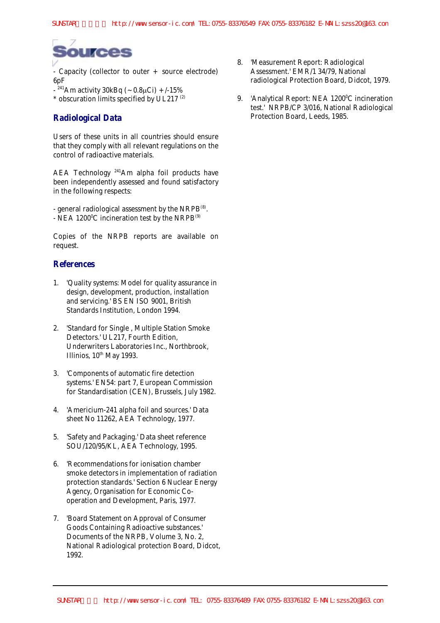

- Capacity (collector to outer + source electrode) 6pF

- $-$ <sup>241</sup>Am activity 30kBq (~0.8µCi) +/-15%
- $*$  obscuration limits specified by UL217 $(2)$

# **Radiological Data**

Users of these units in all countries should ensure that they comply with all relevant regulations on the control of radioactive materials.

AEA Technology 241Am alpha foil products have been independently assessed and found satisfactory in the following respects:

- general radiological assessment by the  $NRPB^{(8)}$ . - NEA 1200 $^{\circ}$ C incineration test by the NRPB $^{\circ}$ <sup>9</sup>

Copies of the NRPB reports are available on request.

# **References**

- 1. 'Quality systems: Model for quality assurance in design, development, production, installation and servicing.' BS EN ISO 9001, British Standards Institution, London 1994.
- 2. 'Standard for Single , Multiple Station Smoke Detectors.' UL217, Fourth Edition, Underwriters Laboratories Inc., Northbrook, Illinios,  $10^{th}$  May 1993.
- 3. 'Components of automatic fire detection systems.' EN54: part 7, European Commission for Standardisation (CEN), Brussels, July 1982.
- 4. 'Americium-241 alpha foil and sources.' Data sheet No 11262, AEA Technology, 1977.
- 5. 'Safety and Packaging.' Data sheet reference SOU/120/95/KL, AEA Technology, 1995.
- 6. 'Recommendations for ionisation chamber smoke detectors in implementation of radiation protection standards.' Section 6 Nuclear Energy Agency, Organisation for Economic Cooperation and Development, Paris, 1977.
- 7. 'Board Statement on Approval of Consumer Goods Containing Radioactive substances.' Documents of the NRPB, Volume 3, No. 2, National Radiological protection Board, Didcot, 1992.
- 8. 'Measurement Report: Radiological Assessment.' EMR/1 34/79, National radiological Protection Board, Didcot, 1979.
- 9. 'Analytical Report: NEA 1200°C incineration test.' NRPB/CP 3/016, National Radiological Protection Board, Leeds, 1985.